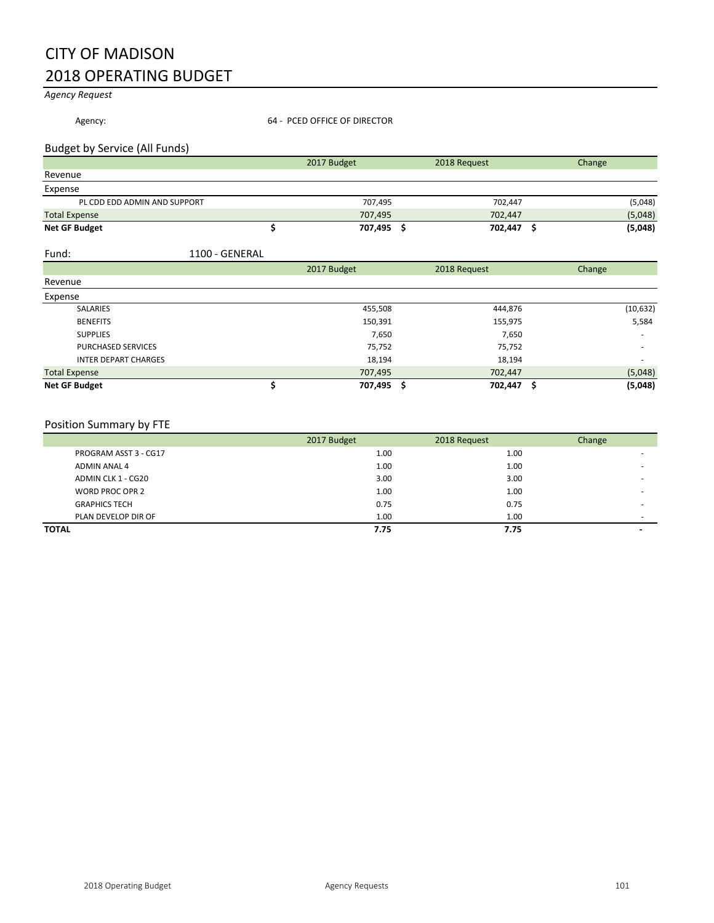## CITY OF MADISON 2018 OPERATING BUDGET

*Agency Request*

| Agency:                       | 64 - PCED OFFICE OF DIRECTOR |              |        |  |
|-------------------------------|------------------------------|--------------|--------|--|
| Budget by Service (All Funds) |                              |              |        |  |
|                               | 2017 Budget                  | 2018 Request | Change |  |
| Revenue                       |                              |              |        |  |
| Expense                       |                              |              |        |  |

| --------                     |         |         |         |
|------------------------------|---------|---------|---------|
| PL CDD EDD ADMIN AND SUPPORT | 707.495 | 702,447 | (5,048) |
| <b>Total Expense</b>         | 707.495 | 702.447 | (5,048) |
| <b>Net GF Budget</b>         | 707,495 | 702,447 | (5,048) |
|                              |         |         |         |

## Fund: 1100 - GENERAL

|                             | 2017 Budget | 2018 Request | Change                   |
|-----------------------------|-------------|--------------|--------------------------|
| Revenue                     |             |              |                          |
| Expense                     |             |              |                          |
| <b>SALARIES</b>             | 455,508     | 444,876      | (10, 632)                |
| <b>BENEFITS</b>             | 150,391     | 155,975      | 5,584                    |
| <b>SUPPLIES</b>             | 7,650       | 7,650        | $\overline{\phantom{a}}$ |
| <b>PURCHASED SERVICES</b>   | 75,752      | 75,752       | $\overline{\phantom{a}}$ |
| <b>INTER DEPART CHARGES</b> | 18,194      | 18,194       | $\overline{\phantom{a}}$ |
| <b>Total Expense</b>        | 707,495     | 702,447      | (5,048)                  |
| <b>Net GF Budget</b>        | 707,495 \$  | 702,447      | (5,048)                  |

## Position Summary by FTE

|                       | 2017 Budget | 2018 Request | Change                   |
|-----------------------|-------------|--------------|--------------------------|
| PROGRAM ASST 3 - CG17 | 1.00        | 1.00         |                          |
| ADMIN ANAL 4          | 1.00        | 1.00         |                          |
| ADMIN CLK 1 - CG20    | 3.00        | 3.00         |                          |
| WORD PROC OPR 2       | 1.00        | 1.00         |                          |
| <b>GRAPHICS TECH</b>  | 0.75        | 0.75         |                          |
| PLAN DEVELOP DIR OF   | 1.00        | 1.00         |                          |
| <b>TOTAL</b>          | 7.75        | 7.75         | $\overline{\phantom{0}}$ |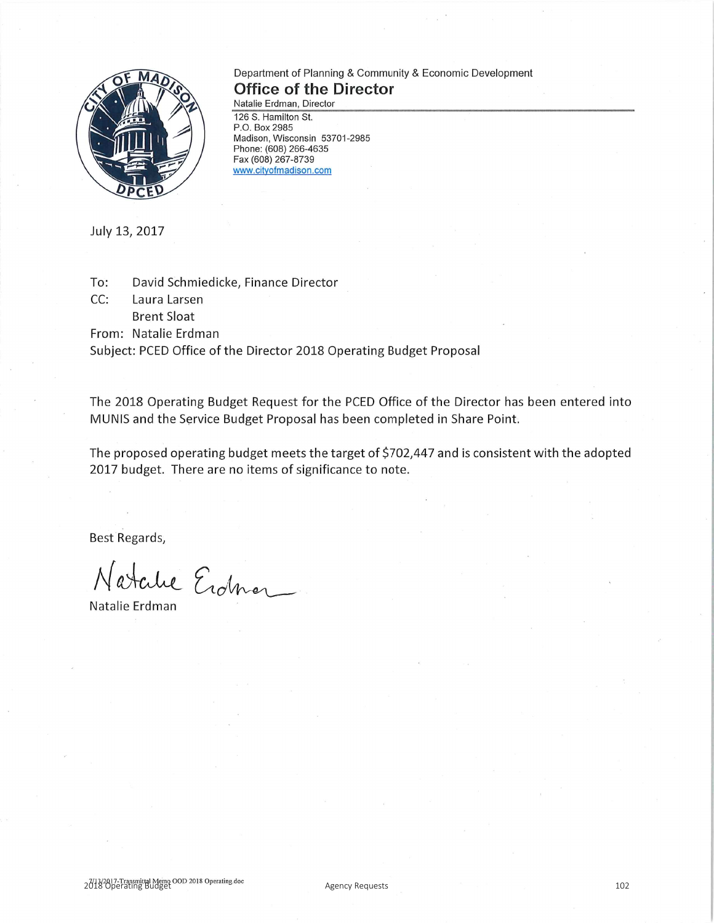

## Department of Planning & Community & Economic Development **Office of the Director**

Natalie Erdman, Director 126 S. Hamilton St. P.O. Box 2985 Madison, Wisconsin 53701-2985 Phone: (608) 266-4635 Fax (608) 267-8739 www.cityofmadison.com

July 13, 2017

David Schmiedicke, Finance Director To:

CC: Laura Larsen

**Brent Sloat** 

From: Natalie Erdman

Subject: PCED Office of the Director 2018 Operating Budget Proposal

The 2018 Operating Budget Request for the PCED Office of the Director has been entered into MUNIS and the Service Budget Proposal has been completed in Share Point.

The proposed operating budget meets the target of \$702,447 and is consistent with the adopted 2017 budget. There are no items of significance to note.

Best Regards,

Natalie Erdner

Natalie Erdman